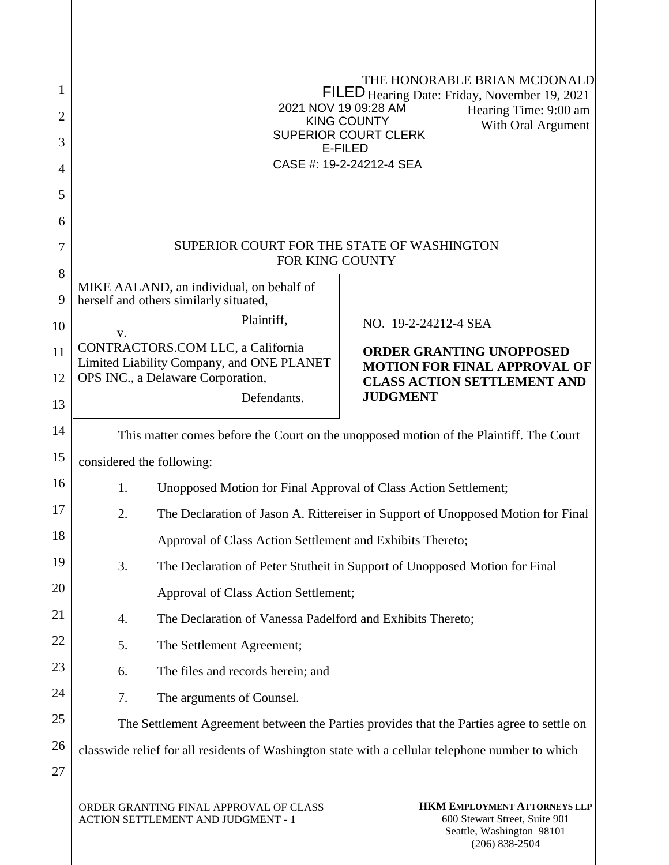| 1<br>$\overline{2}$<br>3<br>4<br>5 |                                                                                                                                                                                               | GEGFÁPUXÁFJÁEJKGÍ ÁDET                                          | THE HONORABLE BRIAN MCDONALD.<br><b>20300</b> Hearing Date: Friday, November 19, 2021<br>Hearing Time: 9:00 am<br><b>SOPÕÁÔUWÞVŸ</b><br>With Oral Argument<br>ÙWÚÒÜQUÜÁÔUWÜVÁÔŠÒÜS<br><b>ÒËZŠÒÖ</b><br>ÔŒLÌÒÁN AFJËJËJEJ GFGËI ÁJÒŒ |  |
|------------------------------------|-----------------------------------------------------------------------------------------------------------------------------------------------------------------------------------------------|-----------------------------------------------------------------|-------------------------------------------------------------------------------------------------------------------------------------------------------------------------------------------------------------------------------------|--|
| 6                                  |                                                                                                                                                                                               |                                                                 |                                                                                                                                                                                                                                     |  |
| 7                                  | SUPERIOR COURT FOR THE STATE OF WASHINGTON<br>FOR KING COUNTY                                                                                                                                 |                                                                 |                                                                                                                                                                                                                                     |  |
| 8                                  |                                                                                                                                                                                               | MIKE AALAND, an individual, on behalf of                        |                                                                                                                                                                                                                                     |  |
| 9                                  |                                                                                                                                                                                               | herself and others similarly situated,                          |                                                                                                                                                                                                                                     |  |
| 10                                 | V.                                                                                                                                                                                            | Plaintiff,                                                      | NO. 19-2-24212-4 SEA                                                                                                                                                                                                                |  |
| 11                                 | CONTRACTORS.COM LLC, a California<br><b>ORDER GRANTING UNOPPOSED</b><br>Limited Liability Company, and ONE PLANET<br><b>MOTION FOR FINAL APPROVAL OF</b>                                      |                                                                 |                                                                                                                                                                                                                                     |  |
| 12<br>13                           | OPS INC., a Delaware Corporation,<br><b>CLASS ACTION SETTLEMENT AND</b><br><b>JUDGMENT</b><br>Defendants.                                                                                     |                                                                 |                                                                                                                                                                                                                                     |  |
| 14                                 |                                                                                                                                                                                               |                                                                 |                                                                                                                                                                                                                                     |  |
| 15                                 | This matter comes before the Court on the unopposed motion of the Plaintiff. The Court                                                                                                        |                                                                 |                                                                                                                                                                                                                                     |  |
| 16                                 | considered the following:<br>1.                                                                                                                                                               |                                                                 |                                                                                                                                                                                                                                     |  |
| 17                                 | 2.                                                                                                                                                                                            | Unopposed Motion for Final Approval of Class Action Settlement; |                                                                                                                                                                                                                                     |  |
| 18                                 |                                                                                                                                                                                               |                                                                 | The Declaration of Jason A. Rittereiser in Support of Unopposed Motion for Final                                                                                                                                                    |  |
| 19                                 | 3.                                                                                                                                                                                            | Approval of Class Action Settlement and Exhibits Thereto;       | The Declaration of Peter Stutheit in Support of Unopposed Motion for Final                                                                                                                                                          |  |
| 20                                 |                                                                                                                                                                                               | Approval of Class Action Settlement;                            |                                                                                                                                                                                                                                     |  |
| 21                                 | 4.                                                                                                                                                                                            | The Declaration of Vanessa Padelford and Exhibits Thereto;      |                                                                                                                                                                                                                                     |  |
| 22                                 | 5.                                                                                                                                                                                            | The Settlement Agreement;                                       |                                                                                                                                                                                                                                     |  |
| 23                                 | 6.                                                                                                                                                                                            | The files and records herein; and                               |                                                                                                                                                                                                                                     |  |
| 24                                 | 7.                                                                                                                                                                                            | The arguments of Counsel.                                       |                                                                                                                                                                                                                                     |  |
| 25                                 |                                                                                                                                                                                               |                                                                 |                                                                                                                                                                                                                                     |  |
| 26                                 | The Settlement Agreement between the Parties provides that the Parties agree to settle on<br>classwide relief for all residents of Washington state with a cellular telephone number to which |                                                                 |                                                                                                                                                                                                                                     |  |
| 27                                 |                                                                                                                                                                                               |                                                                 |                                                                                                                                                                                                                                     |  |
|                                    |                                                                                                                                                                                               | ORDER GRANTING FINAL APPROVAL OF CLASS                          | HKM EMPLOYMENT ATTORNEYS LLP                                                                                                                                                                                                        |  |

ACTION SETTLEMENT AND JUDGMENT - 1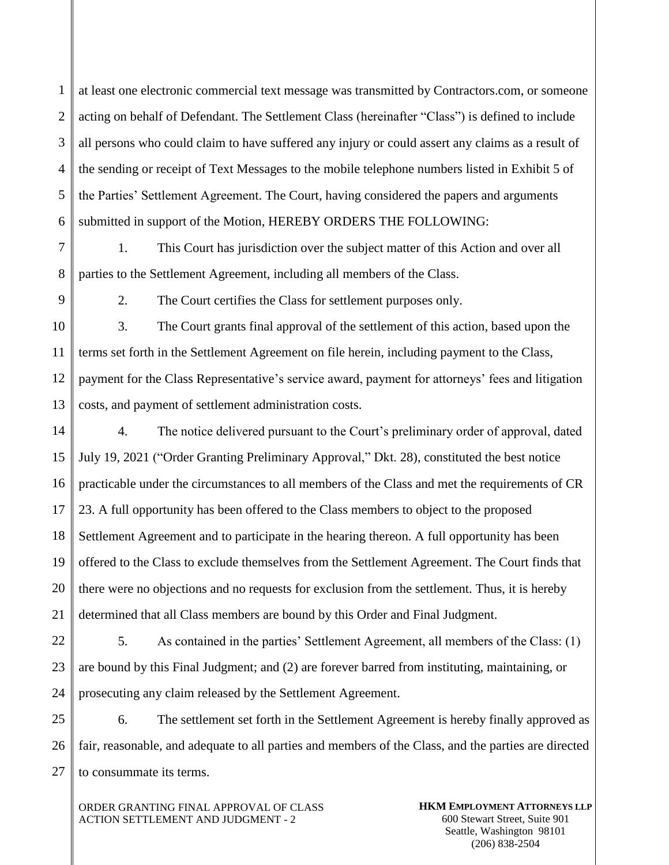1  $\mathfrak{D}$ 3 4 5 6 at least one electronic commercial text message was transmitted by Contractors.com, or someone acting on behalf of Defendant. The Settlement Class (hereinafter "Class") is defined to include all persons who could claim to have suffered any injury or could assert any claims as a result of the sending or receipt of Text Messages to the mobile telephone numbers listed in Exhibit 5 of the Parties' Settlement Agreement. The Court, having considered the papers and arguments submitted in support of the Motion, HEREBY ORDERS THE FOLLOWING:

7 8 1. This Court has jurisdiction over the subject matter of this Action and over all parties to the Settlement Agreement, including all members of the Class.

9

2. The Court certifies the Class for settlement purposes only.

10 11 12 13 3. The Court grants final approval of the settlement of this action, based upon the terms set forth in the Settlement Agreement on file herein, including payment to the Class, payment for the Class Representative's service award, payment for attorneys' fees and litigation costs, and payment of settlement administration costs.

14 15 16 17 18 19 20 21 4. The notice delivered pursuant to the Court's preliminary order of approval, dated July 19, 2021 ("Order Granting Preliminary Approval," Dkt. 28), constituted the best notice practicable under the circumstances to all members of the Class and met the requirements of CR 23. A full opportunity has been offered to the Class members to object to the proposed Settlement Agreement and to participate in the hearing thereon. A full opportunity has been offered to the Class to exclude themselves from the Settlement Agreement. The Court finds that there were no objections and no requests for exclusion from the settlement. Thus, it is hereby determined that all Class members are bound by this Order and Final Judgment.

22 23 24 5. As contained in the parties' Settlement Agreement, all members of the Class: (1) are bound by this Final Judgment; and (2) are forever barred from instituting, maintaining, or prosecuting any claim released by the Settlement Agreement.

25 26 27 6. The settlement set forth in the Settlement Agreement is hereby finally approved as fair, reasonable, and adequate to all parties and members of the Class, and the parties are directed to consummate its terms.

ORDER GRANTING FINAL APPROVAL OF CLASS ACTION SETTLEMENT AND JUDGMENT - 2

**HKM EMPLOYMENT ATTORNEYS LLP** 600 Stewart Street, Suite 901 Seattle, Washington 98101 (206) 838-2504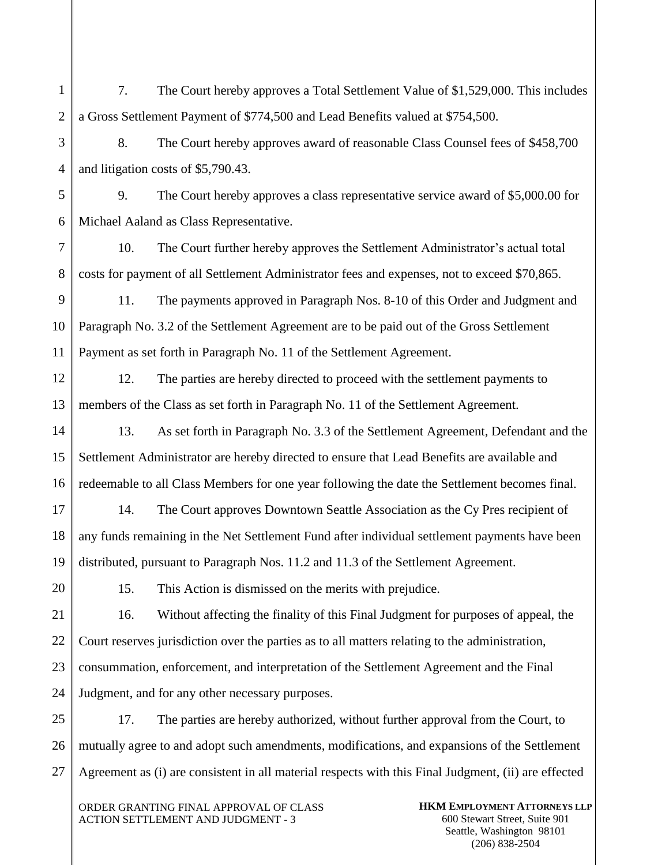1  $\mathfrak{D}$ 3 4 5 6 7 8 9 10 11 12 13 14 15 16 17 18 19 20 21 22 23 24 25 26 27 7. The Court hereby approves a Total Settlement Value of \$1,529,000. This includes a Gross Settlement Payment of \$774,500 and Lead Benefits valued at \$754,500. 8. The Court hereby approves award of reasonable Class Counsel fees of \$458,700 and litigation costs of \$5,790.43. 9. The Court hereby approves a class representative service award of \$5,000.00 for Michael Aaland as Class Representative. 10. The Court further hereby approves the Settlement Administrator's actual total costs for payment of all Settlement Administrator fees and expenses, not to exceed \$70,865. 11. The payments approved in Paragraph Nos. 8-10 of this Order and Judgment and Paragraph No. 3.2 of the Settlement Agreement are to be paid out of the Gross Settlement Payment as set forth in Paragraph No. 11 of the Settlement Agreement. 12. The parties are hereby directed to proceed with the settlement payments to members of the Class as set forth in Paragraph No. 11 of the Settlement Agreement. 13. As set forth in Paragraph No. 3.3 of the Settlement Agreement, Defendant and the Settlement Administrator are hereby directed to ensure that Lead Benefits are available and redeemable to all Class Members for one year following the date the Settlement becomes final. 14. The Court approves Downtown Seattle Association as the Cy Pres recipient of any funds remaining in the Net Settlement Fund after individual settlement payments have been distributed, pursuant to Paragraph Nos. 11.2 and 11.3 of the Settlement Agreement. 15. This Action is dismissed on the merits with prejudice. 16. Without affecting the finality of this Final Judgment for purposes of appeal, the Court reserves jurisdiction over the parties as to all matters relating to the administration, consummation, enforcement, and interpretation of the Settlement Agreement and the Final Judgment, and for any other necessary purposes. 17. The parties are hereby authorized, without further approval from the Court, to mutually agree to and adopt such amendments, modifications, and expansions of the Settlement Agreement as (i) are consistent in all material respects with this Final Judgment, (ii) are effected

ORDER GRANTING FINAL APPROVAL OF CLASS ACTION SETTLEMENT AND JUDGMENT - 3

**HKM EMPLOYMENT ATTORNEYS LLP** 600 Stewart Street, Suite 901 Seattle, Washington 98101 (206) 838-2504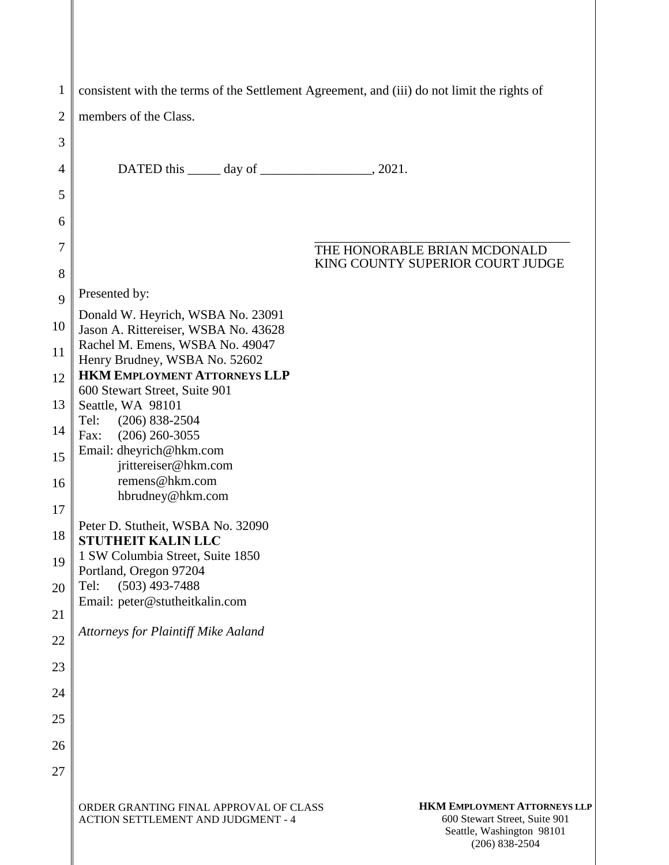| $\mathbf{1}$ | consistent with the terms of the Settlement Agreement, and (iii) do not limit the rights of |                                                                                       |
|--------------|---------------------------------------------------------------------------------------------|---------------------------------------------------------------------------------------|
| 2            | members of the Class.                                                                       |                                                                                       |
| 3            |                                                                                             |                                                                                       |
| 4            | DATED this $\_\_\_\_$ day of $\_\_\_\_\_\_\_$ , 2021.                                       |                                                                                       |
| 5            |                                                                                             |                                                                                       |
| 6            |                                                                                             |                                                                                       |
| 7<br>8       |                                                                                             | THE HONORABLE BRIAN MCDONALD<br>KING COUNTY SUPERIOR COURT JUDGE                      |
|              | Presented by:                                                                               |                                                                                       |
| 9            | Donald W. Heyrich, WSBA No. 23091                                                           |                                                                                       |
| 10           | Jason A. Rittereiser, WSBA No. 43628<br>Rachel M. Emens, WSBA No. 49047                     |                                                                                       |
| 11           | Henry Brudney, WSBA No. 52602<br><b>HKM EMPLOYMENT ATTORNEYS LLP</b>                        |                                                                                       |
| 12           | 600 Stewart Street, Suite 901                                                               |                                                                                       |
| 13           | Seattle, WA 98101<br>Tel:<br>$(206) 838 - 2504$                                             |                                                                                       |
| 14           | $(206)$ 260-3055<br>Fax:<br>Email: dheyrich@hkm.com                                         |                                                                                       |
| 15           | jrittereiser@hkm.com<br>remens@hkm.com                                                      |                                                                                       |
| 16           | hbrudney@hkm.com                                                                            |                                                                                       |
| 17           | Peter D. Stutheit, WSBA No. 32090                                                           |                                                                                       |
| 18           | <b>STUTHEIT KALIN LLC</b><br>1 SW Columbia Street, Suite 1850                               |                                                                                       |
| 19           | Portland, Oregon 97204<br>$(503)$ 493-7488<br>Tel:                                          |                                                                                       |
| 20           | Email: peter@stutheitkalin.com                                                              |                                                                                       |
| 21           | Attorneys for Plaintiff Mike Aaland                                                         |                                                                                       |
| 22           |                                                                                             |                                                                                       |
| 23           |                                                                                             |                                                                                       |
| 24           |                                                                                             |                                                                                       |
| 25           |                                                                                             |                                                                                       |
| 26           |                                                                                             |                                                                                       |
| 27           |                                                                                             |                                                                                       |
|              | ORDER GRANTING FINAL APPROVAL OF CLASS<br>ACTION SETTLEMENT AND JUDGMENT - 4                | <b>HKM EMPLOYMENT ATTORNEYS LLP</b><br>600 Stewart Street, Suite 901<br>المحافظ متكمل |

Seattle, Washington 98101 (206) 838-2504